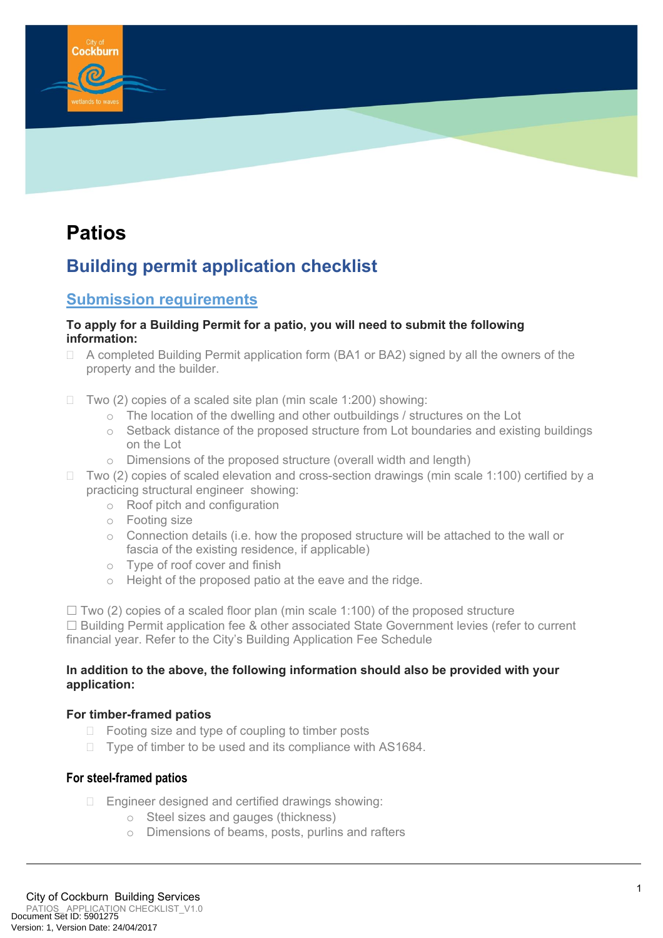

# **Patios**

## **Building permit application checklist**

### **Submission requirements**

#### **To apply for a Building Permit for a patio, you will need to submit the following information:**

- □ A completed Building Permit application form (BA1 or BA2) signed by all the owners of the property and the builder.
- $\Box$  Two (2) copies of a scaled site plan (min scale 1:200) showing:
	- o The location of the dwelling and other outbuildings / structures on the Lot
	- o Setback distance of the proposed structure from Lot boundaries and existing buildings on the Lot
	- o Dimensions of the proposed structure (overall width and length)
- $\Box$  Two (2) copies of scaled elevation and cross-section drawings (min scale 1:100) certified by a practicing structural engineer showing:
	- o Roof pitch and configuration
	- o Footing size
	- o Connection details (i.e. how the proposed structure will be attached to the wall or fascia of the existing residence, if applicable)
	- o Type of roof cover and finish
	- o Height of the proposed patio at the eave and the ridge.

 $\Box$  Two (2) copies of a scaled floor plan (min scale 1:100) of the proposed structure  $\Box$  Building Permit application fee & other associated State Government levies (refer to current financial year. Refer to the City's Building Application Fee Schedule

#### **In addition to the above, the following information should also be provided with your application:**

#### **For timber-framed patios**

- $\Box$  Footing size and type of coupling to timber posts
- $\Box$  Type of timber to be used and its compliance with AS1684.

#### **For steel-framed patios**

- $\Box$  Engineer designed and certified drawings showing:
	- o Steel sizes and gauges (thickness)
	- o Dimensions of beams, posts, purlins and rafters